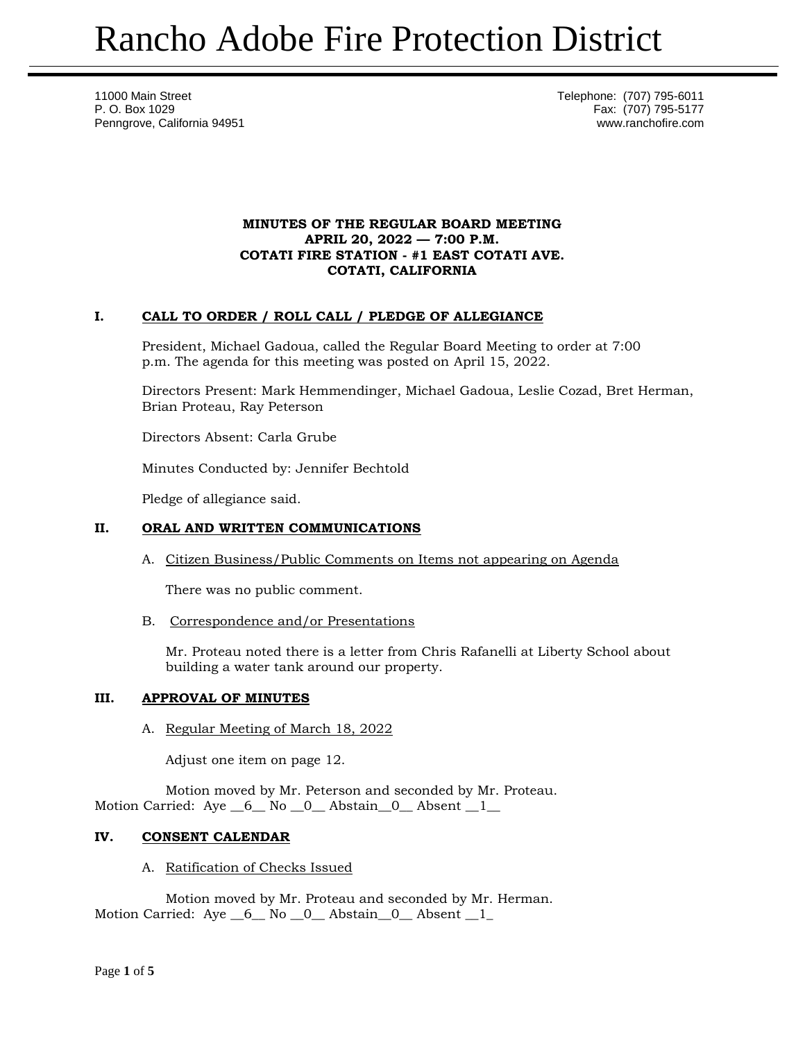11000 Main Street **Telephone:** (707) 795-6011 P. O. Box 1029 Fax: (707) 795-5177 Penngrove, California 94951 www.ranchofire.com

### **MINUTES OF THE REGULAR BOARD MEETING APRIL 20, 2022 — 7:00 P.M. COTATI FIRE STATION - #1 EAST COTATI AVE. COTATI, CALIFORNIA**

# **I. CALL TO ORDER / ROLL CALL / PLEDGE OF ALLEGIANCE**

President, Michael Gadoua, called the Regular Board Meeting to order at 7:00 p.m. The agenda for this meeting was posted on April 15, 2022.

Directors Present: Mark Hemmendinger, Michael Gadoua, Leslie Cozad, Bret Herman, Brian Proteau, Ray Peterson

Directors Absent: Carla Grube

Minutes Conducted by: Jennifer Bechtold

Pledge of allegiance said.

# **II. ORAL AND WRITTEN COMMUNICATIONS**

A. Citizen Business/Public Comments on Items not appearing on Agenda

There was no public comment.

B. Correspondence and/or Presentations

Mr. Proteau noted there is a letter from Chris Rafanelli at Liberty School about building a water tank around our property.

### **III. APPROVAL OF MINUTES**

A. Regular Meeting of March 18, 2022

Adjust one item on page 12.

Motion moved by Mr. Peterson and seconded by Mr. Proteau. Motion Carried: Aye  $\_6\_$  No  $\_0\_$  Abstain $\_0\_$  Absent  $\_1\_$ 

# **IV. CONSENT CALENDAR**

A. Ratification of Checks Issued

Motion moved by Mr. Proteau and seconded by Mr. Herman. Motion Carried: Aye 6 No 0 Abstain 0 Absent 1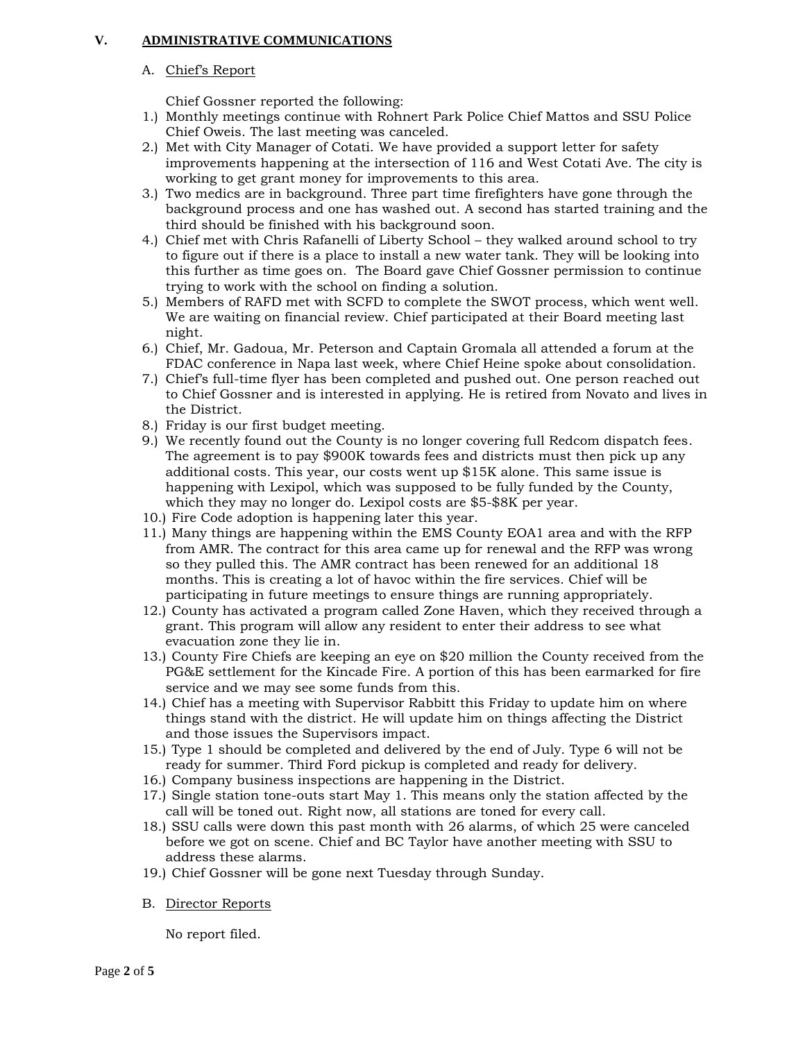# **V. ADMINISTRATIVE COMMUNICATIONS**

# A. Chief's Report

Chief Gossner reported the following:

- 1.) Monthly meetings continue with Rohnert Park Police Chief Mattos and SSU Police Chief Oweis. The last meeting was canceled.
- 2.) Met with City Manager of Cotati. We have provided a support letter for safety improvements happening at the intersection of 116 and West Cotati Ave. The city is working to get grant money for improvements to this area.
- 3.) Two medics are in background. Three part time firefighters have gone through the background process and one has washed out. A second has started training and the third should be finished with his background soon.
- 4.) Chief met with Chris Rafanelli of Liberty School they walked around school to try to figure out if there is a place to install a new water tank. They will be looking into this further as time goes on. The Board gave Chief Gossner permission to continue trying to work with the school on finding a solution.
- 5.) Members of RAFD met with SCFD to complete the SWOT process, which went well. We are waiting on financial review. Chief participated at their Board meeting last night.
- 6.) Chief, Mr. Gadoua, Mr. Peterson and Captain Gromala all attended a forum at the FDAC conference in Napa last week, where Chief Heine spoke about consolidation.
- 7.) Chief's full-time flyer has been completed and pushed out. One person reached out to Chief Gossner and is interested in applying. He is retired from Novato and lives in the District.
- 8.) Friday is our first budget meeting.
- 9.) We recently found out the County is no longer covering full Redcom dispatch fees. The agreement is to pay \$900K towards fees and districts must then pick up any additional costs. This year, our costs went up \$15K alone. This same issue is happening with Lexipol, which was supposed to be fully funded by the County, which they may no longer do. Lexipol costs are \$5-\$8K per year.
- 10.) Fire Code adoption is happening later this year.
- 11.) Many things are happening within the EMS County EOA1 area and with the RFP from AMR. The contract for this area came up for renewal and the RFP was wrong so they pulled this. The AMR contract has been renewed for an additional 18 months. This is creating a lot of havoc within the fire services. Chief will be participating in future meetings to ensure things are running appropriately.
- 12.) County has activated a program called Zone Haven, which they received through a grant. This program will allow any resident to enter their address to see what evacuation zone they lie in.
- 13.) County Fire Chiefs are keeping an eye on \$20 million the County received from the PG&E settlement for the Kincade Fire. A portion of this has been earmarked for fire service and we may see some funds from this.
- 14.) Chief has a meeting with Supervisor Rabbitt this Friday to update him on where things stand with the district. He will update him on things affecting the District and those issues the Supervisors impact.
- 15.) Type 1 should be completed and delivered by the end of July. Type 6 will not be ready for summer. Third Ford pickup is completed and ready for delivery.
- 16.) Company business inspections are happening in the District.
- 17.) Single station tone-outs start May 1. This means only the station affected by the call will be toned out. Right now, all stations are toned for every call.
- 18.) SSU calls were down this past month with 26 alarms, of which 25 were canceled before we got on scene. Chief and BC Taylor have another meeting with SSU to address these alarms.
- 19.) Chief Gossner will be gone next Tuesday through Sunday.
- B. Director Reports

No report filed.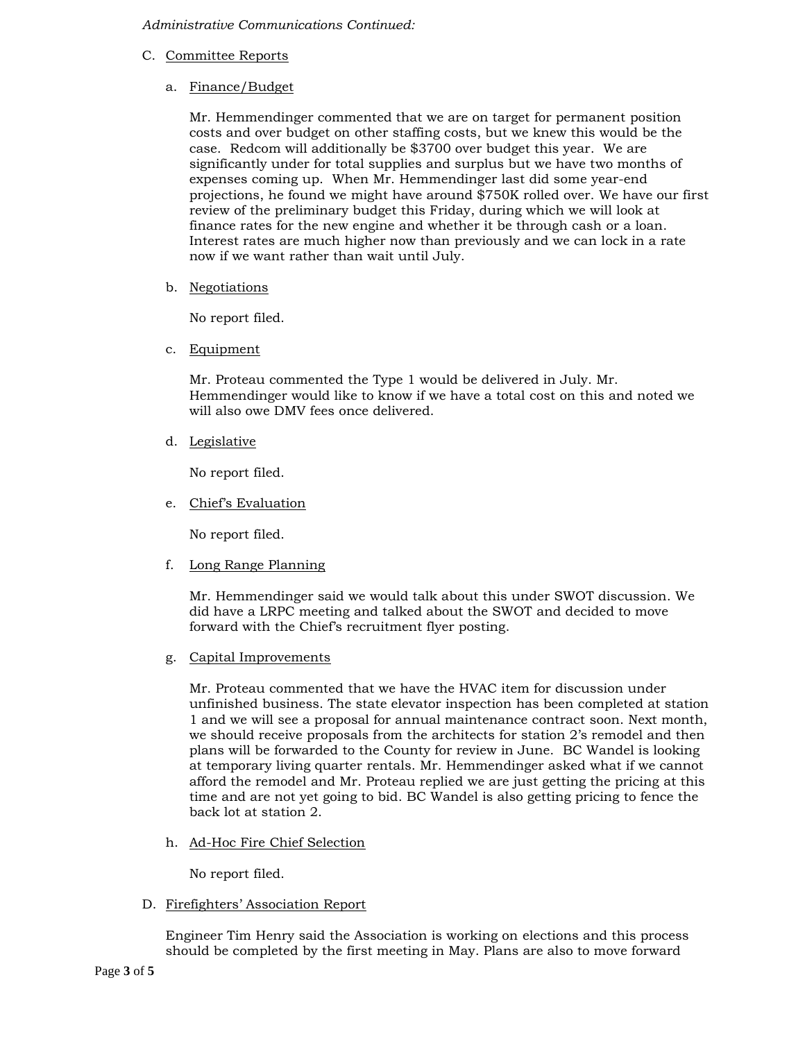*Administrative Communications Continued:*

C. Committee Reports

# a. Finance/Budget

Mr. Hemmendinger commented that we are on target for permanent position costs and over budget on other staffing costs, but we knew this would be the case. Redcom will additionally be \$3700 over budget this year. We are significantly under for total supplies and surplus but we have two months of expenses coming up. When Mr. Hemmendinger last did some year-end projections, he found we might have around \$750K rolled over. We have our first review of the preliminary budget this Friday, during which we will look at finance rates for the new engine and whether it be through cash or a loan. Interest rates are much higher now than previously and we can lock in a rate now if we want rather than wait until July.

b. Negotiations

No report filed.

c. Equipment

Mr. Proteau commented the Type 1 would be delivered in July. Mr. Hemmendinger would like to know if we have a total cost on this and noted we will also owe DMV fees once delivered.

d. Legislative

No report filed.

e. Chief's Evaluation

No report filed.

f. Long Range Planning

Mr. Hemmendinger said we would talk about this under SWOT discussion. We did have a LRPC meeting and talked about the SWOT and decided to move forward with the Chief's recruitment flyer posting.

g. Capital Improvements

Mr. Proteau commented that we have the HVAC item for discussion under unfinished business. The state elevator inspection has been completed at station 1 and we will see a proposal for annual maintenance contract soon. Next month, we should receive proposals from the architects for station 2's remodel and then plans will be forwarded to the County for review in June. BC Wandel is looking at temporary living quarter rentals. Mr. Hemmendinger asked what if we cannot afford the remodel and Mr. Proteau replied we are just getting the pricing at this time and are not yet going to bid. BC Wandel is also getting pricing to fence the back lot at station 2.

h. Ad-Hoc Fire Chief Selection

No report filed.

D. Firefighters' Association Report

Engineer Tim Henry said the Association is working on elections and this process should be completed by the first meeting in May. Plans are also to move forward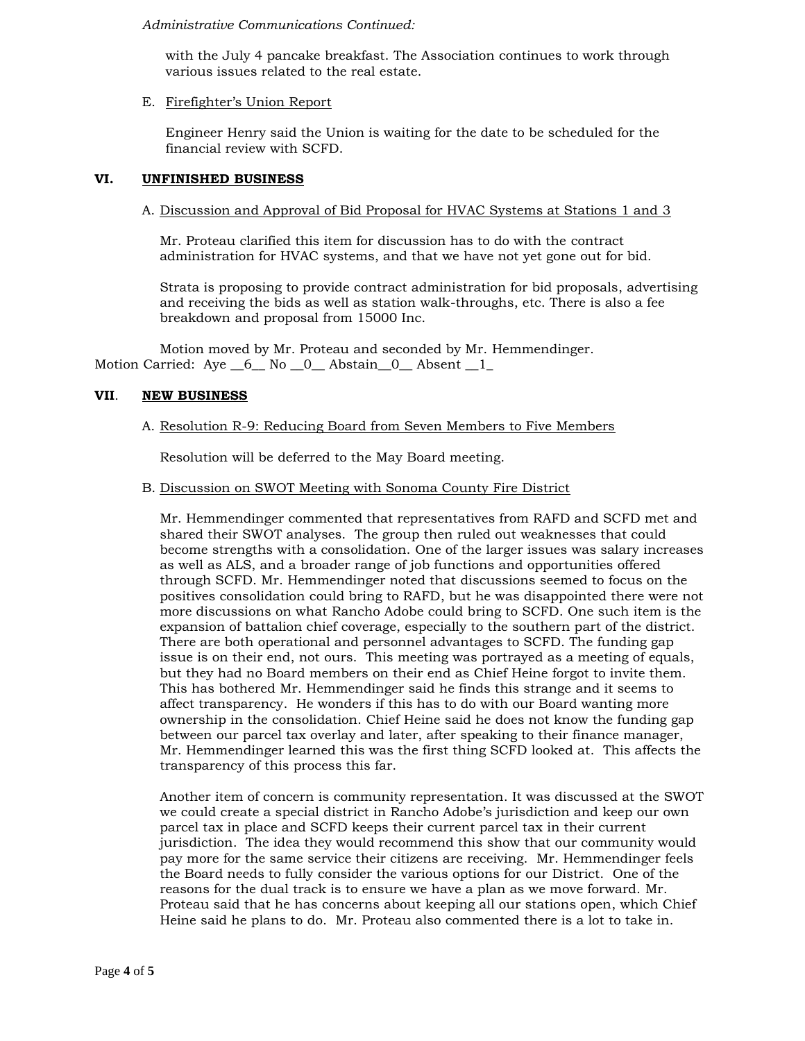### *Administrative Communications Continued:*

with the July 4 pancake breakfast. The Association continues to work through various issues related to the real estate.

## E. Firefighter's Union Report

Engineer Henry said the Union is waiting for the date to be scheduled for the financial review with SCFD.

## **VI. UNFINISHED BUSINESS**

## A. Discussion and Approval of Bid Proposal for HVAC Systems at Stations 1 and 3

Mr. Proteau clarified this item for discussion has to do with the contract administration for HVAC systems, and that we have not yet gone out for bid.

Strata is proposing to provide contract administration for bid proposals, advertising and receiving the bids as well as station walk-throughs, etc. There is also a fee breakdown and proposal from 15000 Inc.

Motion moved by Mr. Proteau and seconded by Mr. Hemmendinger. Motion Carried: Aye 6 No 0 Abstain 0 Absent 1

# **VII**. **NEW BUSINESS**

# A. Resolution R-9: Reducing Board from Seven Members to Five Members

Resolution will be deferred to the May Board meeting.

### B. Discussion on SWOT Meeting with Sonoma County Fire District

Mr. Hemmendinger commented that representatives from RAFD and SCFD met and shared their SWOT analyses. The group then ruled out weaknesses that could become strengths with a consolidation. One of the larger issues was salary increases as well as ALS, and a broader range of job functions and opportunities offered through SCFD. Mr. Hemmendinger noted that discussions seemed to focus on the positives consolidation could bring to RAFD, but he was disappointed there were not more discussions on what Rancho Adobe could bring to SCFD. One such item is the expansion of battalion chief coverage, especially to the southern part of the district. There are both operational and personnel advantages to SCFD. The funding gap issue is on their end, not ours. This meeting was portrayed as a meeting of equals, but they had no Board members on their end as Chief Heine forgot to invite them. This has bothered Mr. Hemmendinger said he finds this strange and it seems to affect transparency. He wonders if this has to do with our Board wanting more ownership in the consolidation. Chief Heine said he does not know the funding gap between our parcel tax overlay and later, after speaking to their finance manager, Mr. Hemmendinger learned this was the first thing SCFD looked at. This affects the transparency of this process this far.

Another item of concern is community representation. It was discussed at the SWOT we could create a special district in Rancho Adobe's jurisdiction and keep our own parcel tax in place and SCFD keeps their current parcel tax in their current jurisdiction. The idea they would recommend this show that our community would pay more for the same service their citizens are receiving. Mr. Hemmendinger feels the Board needs to fully consider the various options for our District. One of the reasons for the dual track is to ensure we have a plan as we move forward. Mr. Proteau said that he has concerns about keeping all our stations open, which Chief Heine said he plans to do. Mr. Proteau also commented there is a lot to take in.